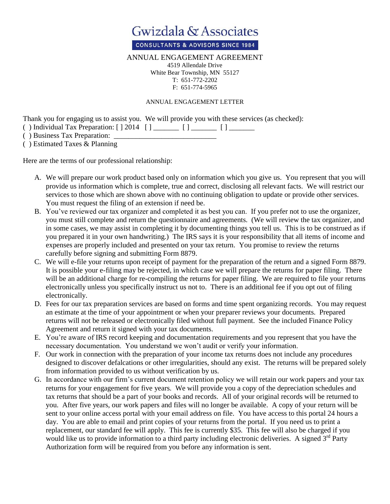

**CONSULTANTS & ADVISORS SINCE 1984** 

## ANNUAL ENGAGEMENT AGREEMENT

4519 Allendale Drive White Bear Township, MN 55127 T: 651-772-2202 F: 651-774-5965

## ANNUAL ENGAGEMENT LETTER

Thank you for engaging us to assist you. We will provide you with these services (as checked):

() Individual Tax Preparation: [ ] 2014 [ ] \_\_\_\_\_\_\_ [ ] \_\_\_\_\_\_\_ [ ] \_\_\_\_\_\_\_

( ) Business Tax Preparation: \_\_\_\_\_\_\_\_\_\_\_\_\_\_\_\_\_\_\_\_\_\_\_\_\_\_\_\_

( ) Estimated Taxes & Planning

Here are the terms of our professional relationship:

- A. We will prepare our work product based only on information which you give us. You represent that you will provide us information which is complete, true and correct, disclosing all relevant facts. We will restrict our services to those which are shown above with no continuing obligation to update or provide other services. You must request the filing of an extension if need be.
- B. You've reviewed our tax organizer and completed it as best you can. If you prefer not to use the organizer, you must still complete and return the questionnaire and agreements. (We will review the tax organizer, and in some cases, we may assist in completing it by documenting things you tell us. This is to be construed as if you prepared it in your own handwriting.) The IRS says it is your responsibility that all items of income and expenses are properly included and presented on your tax return. You promise to review the returns carefully before signing and submitting Form 8879.
- C. We will e-file your returns upon receipt of payment for the preparation of the return and a signed Form 8879. It is possible your e-filing may be rejected, in which case we will prepare the returns for paper filing. There will be an additional charge for re-compiling the returns for paper filing. We are required to file your returns electronically unless you specifically instruct us not to. There is an additional fee if you opt out of filing electronically.
- D. Fees for our tax preparation services are based on forms and time spent organizing records. You may request an estimate at the time of your appointment or when your preparer reviews your documents. Prepared returns will not be released or electronically filed without full payment. See the included Finance Policy Agreement and return it signed with your tax documents.
- E. You're aware of IRS record keeping and documentation requirements and you represent that you have the necessary documentation. You understand we won't audit or verify your information.
- F. Our work in connection with the preparation of your income tax returns does not include any procedures designed to discover defalcations or other irregularities, should any exist. The returns will be prepared solely from information provided to us without verification by us.
- G. In accordance with our firm's current document retention policy we will retain our work papers and your tax returns for your engagement for five years. We will provide you a copy of the depreciation schedules and tax returns that should be a part of your books and records. All of your original records will be returned to you. After five years, our work papers and files will no longer be available. A copy of your return will be sent to your online access portal with your email address on file. You have access to this portal 24 hours a day. You are able to email and print copies of your returns from the portal. If you need us to print a replacement, our standard fee will apply. This fee is currently \$35. This fee will also be charged if you would like us to provide information to a third party including electronic deliveries. A signed 3<sup>rd</sup> Party Authorization form will be required from you before any information is sent.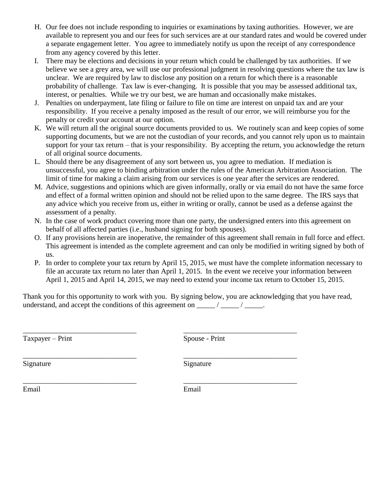- H. Our fee does not include responding to inquiries or examinations by taxing authorities. However, we are available to represent you and our fees for such services are at our standard rates and would be covered under a separate engagement letter. You agree to immediately notify us upon the receipt of any correspondence from any agency covered by this letter.
- I. There may be elections and decisions in your return which could be challenged by tax authorities. If we believe we see a grey area, we will use our professional judgment in resolving questions where the tax law is unclear. We are required by law to disclose any position on a return for which there is a reasonable probability of challenge. Tax law is ever-changing. It is possible that you may be assessed additional tax, interest, or penalties. While we try our best, we are human and occasionally make mistakes.
- J. Penalties on underpayment, late filing or failure to file on time are interest on unpaid tax and are your responsibility. If you receive a penalty imposed as the result of our error, we will reimburse you for the penalty or credit your account at our option.
- K. We will return all the original source documents provided to us. We routinely scan and keep copies of some supporting documents, but we are not the custodian of your records, and you cannot rely upon us to maintain support for your tax return – that is your responsibility. By accepting the return, you acknowledge the return of all original source documents.
- L. Should there be any disagreement of any sort between us, you agree to mediation. If mediation is unsuccessful, you agree to binding arbitration under the rules of the American Arbitration Association. The limit of time for making a claim arising from our services is one year after the services are rendered.
- M. Advice, suggestions and opinions which are given informally, orally or via email do not have the same force and effect of a formal written opinion and should not be relied upon to the same degree. The IRS says that any advice which you receive from us, either in writing or orally, cannot be used as a defense against the assessment of a penalty.
- N. In the case of work product covering more than one party, the undersigned enters into this agreement on behalf of all affected parties (i.e., husband signing for both spouses).
- O. If any provisions herein are inoperative, the remainder of this agreement shall remain in full force and effect. This agreement is intended as the complete agreement and can only be modified in writing signed by both of us.
- P. In order to complete your tax return by April 15, 2015, we must have the complete information necessary to file an accurate tax return no later than April 1, 2015. In the event we receive your information between April 1, 2015 and April 14, 2015, we may need to extend your income tax return to October 15, 2015.

Thank you for this opportunity to work with you. By signing below, you are acknowledging that you have read, understand, and accept the conditions of this agreement on  $\frac{1}{\sqrt{2\pi}}$  / $\frac{1}{\sqrt{2\pi}}$ .

\_\_\_\_\_\_\_\_\_\_\_\_\_\_\_\_\_\_\_\_\_\_\_\_\_\_\_\_\_\_\_ \_\_\_\_\_\_\_\_\_\_\_\_\_\_\_\_\_\_\_\_\_\_\_\_\_\_\_\_\_\_\_

\_\_\_\_\_\_\_\_\_\_\_\_\_\_\_\_\_\_\_\_\_\_\_\_\_\_\_\_\_\_\_ \_\_\_\_\_\_\_\_\_\_\_\_\_\_\_\_\_\_\_\_\_\_\_\_\_\_\_\_\_\_\_

Taxpayer – Print Spouse - Print

\_\_\_\_\_\_\_\_\_\_\_\_\_\_\_\_\_\_\_\_\_\_\_\_\_\_\_\_\_\_\_ \_\_\_\_\_\_\_\_\_\_\_\_\_\_\_\_\_\_\_\_\_\_\_\_\_\_\_\_\_\_\_

Signature Signature Signature

Email Email